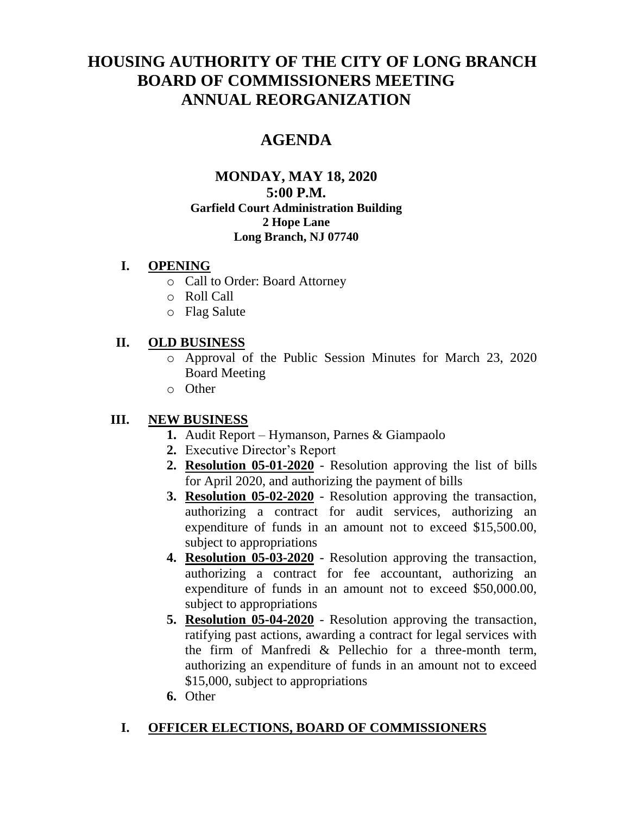# **HOUSING AUTHORITY OF THE CITY OF LONG BRANCH BOARD OF COMMISSIONERS MEETING ANNUAL REORGANIZATION**

# **AGENDA**

#### **MONDAY, MAY 18, 2020 5:00 P.M. Garfield Court Administration Building 2 Hope Lane Long Branch, NJ 07740**

#### **I. OPENING**

- o Call to Order: Board Attorney
- o Roll Call
- o Flag Salute

### **II. OLD BUSINESS**

- o Approval of the Public Session Minutes for March 23, 2020 Board Meeting
- o Other

# **III. NEW BUSINESS**

- **1.** Audit Report Hymanson, Parnes & Giampaolo
- **2.** Executive Director's Report
- **2. Resolution 05-01-2020** Resolution approving the list of bills for April 2020, and authorizing the payment of bills
- **3. Resolution 05-02-2020** Resolution approving the transaction, authorizing a contract for audit services, authorizing an expenditure of funds in an amount not to exceed \$15,500.00, subject to appropriations
- **4. Resolution 05-03-2020** Resolution approving the transaction, authorizing a contract for fee accountant, authorizing an expenditure of funds in an amount not to exceed \$50,000.00, subject to appropriations
- **5. Resolution 05-04-2020** Resolution approving the transaction, ratifying past actions, awarding a contract for legal services with the firm of Manfredi & Pellechio for a three-month term, authorizing an expenditure of funds in an amount not to exceed \$15,000, subject to appropriations
- **6.** Other

# **I. OFFICER ELECTIONS, BOARD OF COMMISSIONERS**